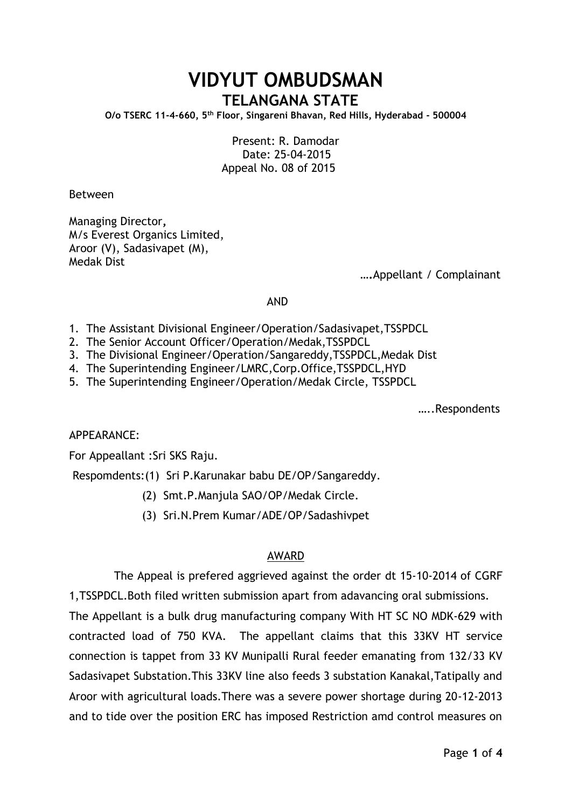## **VIDYUT OMBUDSMAN TELANGANA STATE**

**O/o TSERC 11-4-660, 5th Floor, Singareni Bhavan, Red Hills, Hyderabad - 500004**

Present: R. Damodar Date: 25-04-2015 Appeal No. 08 of 2015

Between

Managing Director**,** M/s Everest Organics Limited, Aroor (V), Sadasivapet (M), Medak Dist

 **….**Appellant / Complainant

AND

- 1. The Assistant Divisional Engineer/Operation/Sadasivapet,TSSPDCL
- 2. The Senior Account Officer/Operation/Medak,TSSPDCL
- 3. The Divisional Engineer/Operation/Sangareddy,TSSPDCL,Medak Dist
- 4. The Superintending Engineer/LMRC,Corp.Office,TSSPDCL,HYD
- 5. The Superintending Engineer/Operation/Medak Circle, TSSPDCL

…..Respondents

APPEARANCE:

For Appeallant :Sri SKS Raju.

Respomdents:(1) Sri P.Karunakar babu DE/OP/Sangareddy.

- (2) Smt.P.Manjula SAO/OP/Medak Circle.
- (3) Sri.N.Prem Kumar/ADE/OP/Sadashivpet

## AWARD

 The Appeal is prefered aggrieved against the order dt 15-10-2014 of CGRF 1,TSSPDCL.Both filed written submission apart from adavancing oral submissions. The Appellant is a bulk drug manufacturing company With HT SC NO MDK-629 with contracted load of 750 KVA. The appellant claims that this 33KV HT service connection is tappet from 33 KV Munipalli Rural feeder emanating from 132/33 KV Sadasivapet Substation.This 33KV line also feeds 3 substation Kanakal,Tatipally and Aroor with agricultural loads.There was a severe power shortage during 20-12-2013 and to tide over the position ERC has imposed Restriction amd control measures on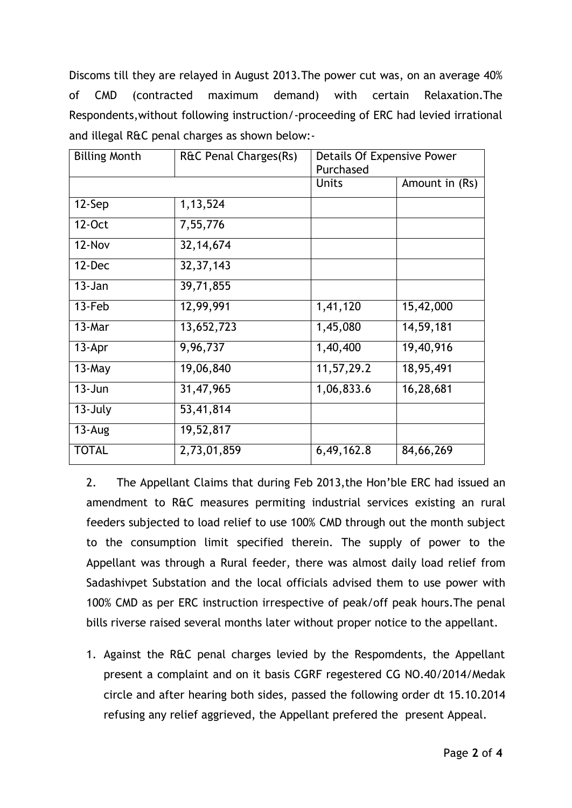Discoms till they are relayed in August 2013.The power cut was, on an average 40% of CMD (contracted maximum demand) with certain Relaxation.The Respondents,without following instruction/-proceeding of ERC had levied irrational and illegal R&C penal charges as shown below:-

| <b>Billing Month</b> | R&C Penal Charges(Rs) | Details Of Expensive Power |                |
|----------------------|-----------------------|----------------------------|----------------|
|                      |                       | Purchased                  |                |
|                      |                       | <b>Units</b>               | Amount in (Rs) |
| $12-Sep$             | 1, 13, 524            |                            |                |
| 12-Oct               | 7,55,776              |                            |                |
| 12-Nov               | 32, 14, 674           |                            |                |
| $12$ -Dec            | 32, 37, 143           |                            |                |
| $13 - Jan$           | 39,71,855             |                            |                |
| 13-Feb               | 12,99,991             | 1,41,120                   | 15,42,000      |
| 13-Mar               | 13,652,723            | 1,45,080                   | 14,59,181      |
| $13-Apr$             | 9,96,737              | 1,40,400                   | 19,40,916      |
| $13$ -May            | 19,06,840             | 11,57,29.2                 | 18,95,491      |
| $13 - Jun$           | 31,47,965             | 1,06,833.6                 | 16,28,681      |
| 13-July              | 53,41,814             |                            |                |
| $13 - Aug$           | 19,52,817             |                            |                |
| <b>TOTAL</b>         | 2,73,01,859           | 6,49,162.8                 | 84,66,269      |

2. The Appellant Claims that during Feb 2013,the Hon'ble ERC had issued an amendment to R&C measures permiting industrial services existing an rural feeders subjected to load relief to use 100% CMD through out the month subject to the consumption limit specified therein. The supply of power to the Appellant was through a Rural feeder, there was almost daily load relief from Sadashivpet Substation and the local officials advised them to use power with 100% CMD as per ERC instruction irrespective of peak/off peak hours.The penal bills riverse raised several months later without proper notice to the appellant.

1. Against the R&C penal charges levied by the Respomdents, the Appellant present a complaint and on it basis CGRF regestered CG NO.40/2014/Medak circle and after hearing both sides, passed the following order dt 15.10.2014 refusing any relief aggrieved, the Appellant prefered the present Appeal.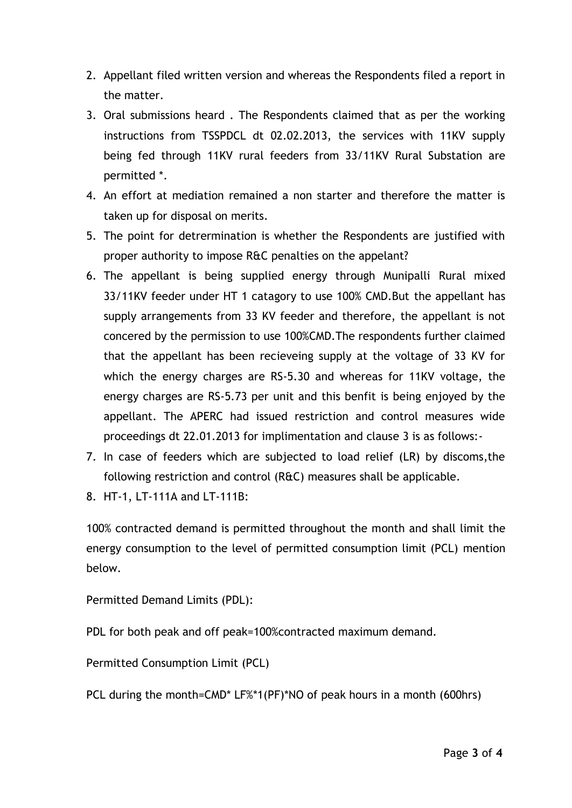- 2. Appellant filed written version and whereas the Respondents filed a report in the matter.
- 3. Oral submissions heard . The Respondents claimed that as per the working instructions from TSSPDCL dt 02.02.2013, the services with 11KV supply being fed through 11KV rural feeders from 33/11KV Rural Substation are permitted \*.
- 4. An effort at mediation remained a non starter and therefore the matter is taken up for disposal on merits.
- 5. The point for detrermination is whether the Respondents are justified with proper authority to impose R&C penalties on the appelant?
- 6. The appellant is being supplied energy through Munipalli Rural mixed 33/11KV feeder under HT 1 catagory to use 100% CMD.But the appellant has supply arrangements from 33 KV feeder and therefore, the appellant is not concered by the permission to use 100%CMD.The respondents further claimed that the appellant has been recieveing supply at the voltage of 33 KV for which the energy charges are RS-5.30 and whereas for 11KV voltage, the energy charges are RS-5.73 per unit and this benfit is being enjoyed by the appellant. The APERC had issued restriction and control measures wide proceedings dt 22.01.2013 for implimentation and clause 3 is as follows:-
- 7. In case of feeders which are subjected to load relief (LR) by discoms,the following restriction and control (R&C) measures shall be applicable.
- 8. HT-1, LT-111A and LT-111B:

100% contracted demand is permitted throughout the month and shall limit the energy consumption to the level of permitted consumption limit (PCL) mention below.

Permitted Demand Limits (PDL):

PDL for both peak and off peak=100%contracted maximum demand.

Permitted Consumption Limit (PCL)

PCL during the month=CMD\* LF%\*1(PF)\*NO of peak hours in a month (600hrs)